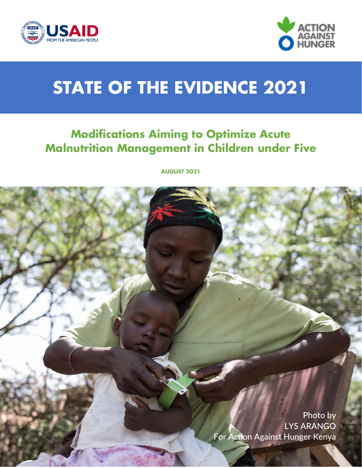



# **STATE OF THE EVIDENCE 2021**

## **Modifications Aiming to Optimize Acute Malnutrition Management in Children under Five**

**AUGUST 2021**

Photo by LYS ARANGO For Action Against Hunger Kenya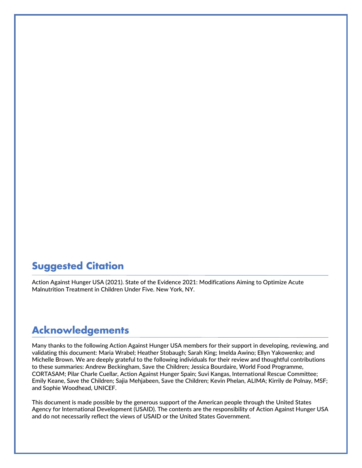## **Suggested Citation**

Action Against Hunger USA (2021). State of the Evidence 2021: Modifications Aiming to Optimize Acute Malnutrition Treatment in Children Under Five. New York, NY.

## **Acknowledgements**

Many thanks to the following Action Against Hunger USA members for their support in developing, reviewing, and validating this document: Maria Wrabel; Heather Stobaugh; Sarah King; Imelda Awino; Ellyn Yakowenko; and Michelle Brown. We are deeply grateful to the following individuals for their review and thoughtful contributions to these summaries: Andrew Beckingham, Save the Children; Jessica Bourdaire, World Food Programme, CORTASAM; Pilar Charle Cuellar, Action Against Hunger Spain; Suvi Kangas, International Rescue Committee; Emily Keane, Save the Children; Sajia Mehjabeen, Save the Children; Kevin Phelan, ALIMA; Kirrily de Polnay, MSF; and Sophie Woodhead, UNICEF.

This document is made possible by the generous support of the American people through the United States Agency for International Development (USAID). The contents are the responsibility of Action Against Hunger USA and do not necessarily reflect the views of USAID or the United States Government.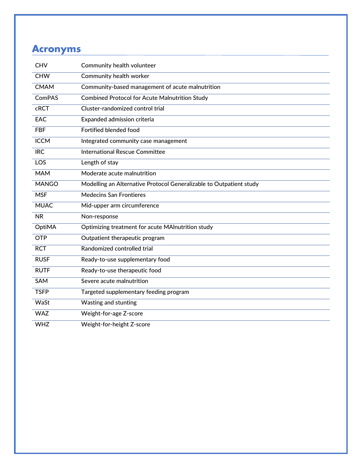## **Acronyms**

| <b>CHV</b>    | Community health volunteer                                          |
|---------------|---------------------------------------------------------------------|
| <b>CHW</b>    | Community health worker                                             |
| <b>CMAM</b>   | Community-based management of acute malnutrition                    |
| <b>ComPAS</b> | <b>Combined Protocol for Acute Malnutrition Study</b>               |
| <b>cRCT</b>   | Cluster-randomized control trial                                    |
| <b>EAC</b>    | Expanded admission criteria                                         |
| <b>FBF</b>    | Fortified blended food                                              |
| <b>ICCM</b>   | Integrated community case management                                |
| <b>IRC</b>    | <b>International Rescue Committee</b>                               |
| LOS           | Length of stay                                                      |
| <b>MAM</b>    | Moderate acute malnutrition                                         |
| <b>MANGO</b>  | Modelling an Alternative Protocol Generalizable to Outpatient study |
| <b>MSF</b>    | <b>Medecins San Frontieres</b>                                      |
| <b>MUAC</b>   | Mid-upper arm circumference                                         |
| <b>NR</b>     | Non-response                                                        |
| OptiMA        | Optimizing treatment for acute MAInutrition study                   |
| <b>OTP</b>    | Outpatient therapeutic program                                      |
| <b>RCT</b>    | Randomized controlled trial                                         |
| <b>RUSF</b>   | Ready-to-use supplementary food                                     |
| <b>RUTF</b>   | Ready-to-use therapeutic food                                       |
| <b>SAM</b>    | Severe acute malnutrition                                           |
| <b>TSFP</b>   | Targeted supplementary feeding program                              |
| WaSt          | Wasting and stunting                                                |
| <b>WAZ</b>    | Weight-for-age Z-score                                              |
| <b>WHZ</b>    | Weight-for-height Z-score                                           |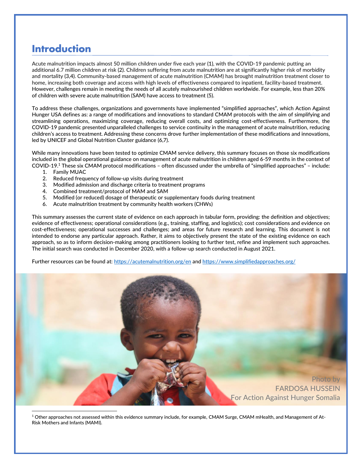## **Introduction**

Acute malnutrition impacts almost 50 million children under five each year (1), with the COVID-19 pandemic putting an additional 6.7 million children at risk (2). Children suffering from acute malnutrition are at significantly higher risk of morbidity and mortality (3,4). Community-based management of acute malnutrition (CMAM) has brought malnutrition treatment closer to home, increasing both coverage and access with high levels of effectiveness compared to inpatient, facility-based treatment. However, challenges remain in meeting the needs of all acutely malnourished children worldwide. For example, less than 20% of children with severe acute malnutrition (SAM) have access to treatment (5).

To address these challenges, organizations and governments have implemented "simplified approaches", which Action Against Hunger USA defines as: a range of modifications and innovations to standard CMAM protocols with the aim of simplifying and streamlining operations, maximizing coverage, reducing overall costs, and optimizing cost-effectiveness. Furthermore, the COVID-19 pandemic presented unparalleled challenges to service continuity in the management of acute malnutrition, reducing children's access to treatment. Addressing these concerns drove further implementation of these modifications and innovations, led by UNICEF and Global Nutrition Cluster guidance (6,7).

While many innovations have been tested to optimize CMAM service delivery, this summary focuses on those six modifications included in the global operational guidance on management of acute malnutrition in children aged 6-59 months in the context of COVID-19. <sup>1</sup> These six CMAM protocol modifications – often discussed under the umbrella of "simplified approaches" – include:

- 1. Family MUAC
- 2. Reduced frequency of follow-up visits during treatment
- 3. Modified admission and discharge criteria to treatment programs
- 4. Combined treatment/protocol of MAM and SAM
- 5. Modified (or reduced) dosage of therapeutic or supplementary foods during treatment
- 6. Acute malnutrition treatment by community health workers (CHWs)

This summary assesses the current state of evidence on each approach in tabular form, providing: the definition and objectives; evidence of effectiveness; operational considerations (e.g., training, staffing, and logistics); cost considerations and evidence on cost-effectiveness; operational successes and challenges; and areas for future research and learning. This document is not intended to endorse any particular approach. Rather, it aims to objectively present the state of the existing evidence on each approach, so as to inform decision-making among practitioners looking to further test, refine and implement such approaches. The initial search was conducted in December 2020, with a follow-up search conducted in August 2021.

Further resources can be found at:<https://acutemalnutrition.org/en> an[d https://www.simplifiedapproaches.org/](https://www.simplifiedapproaches.org/)



 $1$  Other approaches not assessed within this evidence summary include, for example, CMAM Surge, CMAM mHealth, and Management of At-Risk Mothers and Infants (MAMI).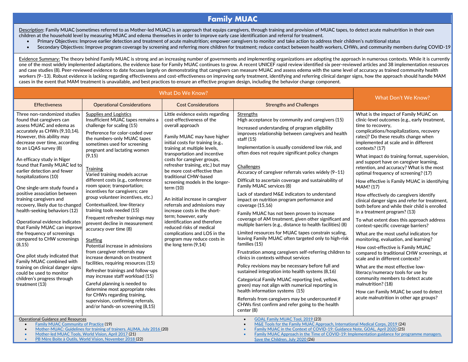#### **Family MUAC**

Description: Family MUAC (sometimes referred to as Mother-led MUAC) is an approach that equips caregivers, through training and provision of MUAC tapes, to detect acute malnutrition in their own children at the household level by measuring MUAC and edema themselves in order to improve early case identification and referral for treatment.

- Primary Objectives: Improve earlier detection and treatment of acute malnutrition; empower caregivers to monitor and take action to address their children's nutritional status
- Secondary Objectives: Improve program coverage by screening and referring more children for treatment; reduce contact between health workers, CHWs, and community members during COVID-19

Evidence Summary: The theory behind Family MUAC is strong and an increasing number of governments and implementing organizations are adopting the approach in numerous contexts. While it is currently one of the most widely implemented adaptations, the evidence base for Family MUAC continues to grow. A recent UNICEF rapid review identified six peer-reviewed articles and 38 implementation resources and case studies (8). Peer-reviewed evidence to date focuses largely on demonstrating that caregivers can measure MUAC and assess edema with the same level of accuracy as trained community health workers (9-13). Robust evidence is lacking regarding effectiveness and cost-effectiveness on improving early treatment, identifying and referring clinical danger signs, how the approach should handle MAM cases in the event that MAM treatment is unavailable, and best practices to ensure an effective program design, including the behavior change component.

| <b>What Do We Know?</b>                                                                                                                                                                                                                                                                                                                                                                                                                                                                                                                                                                                                                                                                                                                                                                                                        |                                                                                                                                                                                                                                                                                                                                                                                                                                                                                                                                                                                                                                                                                                                                                                                                                                                                                                                                                                                                                               |                                                                                                                                                                                                                                                                                                                                                                                                                                                                                                                                                                                                                                                                                  |                                                                                                                                                                                                                                                                                                                                                                                                                                                                                                                                                                                                                                                                                                                                                                                                                                                                                                                                                                                                                                                                                                                                                                                                                                                                                                                                                                       | What Don't We Know?                                                                                                                                                                                                                                                                                                                                                                                                                                                                                                                                                                                                                                                                                                                                                                                                                                                                                                                                                                                                                                                                                                                                                                                        |
|--------------------------------------------------------------------------------------------------------------------------------------------------------------------------------------------------------------------------------------------------------------------------------------------------------------------------------------------------------------------------------------------------------------------------------------------------------------------------------------------------------------------------------------------------------------------------------------------------------------------------------------------------------------------------------------------------------------------------------------------------------------------------------------------------------------------------------|-------------------------------------------------------------------------------------------------------------------------------------------------------------------------------------------------------------------------------------------------------------------------------------------------------------------------------------------------------------------------------------------------------------------------------------------------------------------------------------------------------------------------------------------------------------------------------------------------------------------------------------------------------------------------------------------------------------------------------------------------------------------------------------------------------------------------------------------------------------------------------------------------------------------------------------------------------------------------------------------------------------------------------|----------------------------------------------------------------------------------------------------------------------------------------------------------------------------------------------------------------------------------------------------------------------------------------------------------------------------------------------------------------------------------------------------------------------------------------------------------------------------------------------------------------------------------------------------------------------------------------------------------------------------------------------------------------------------------|-----------------------------------------------------------------------------------------------------------------------------------------------------------------------------------------------------------------------------------------------------------------------------------------------------------------------------------------------------------------------------------------------------------------------------------------------------------------------------------------------------------------------------------------------------------------------------------------------------------------------------------------------------------------------------------------------------------------------------------------------------------------------------------------------------------------------------------------------------------------------------------------------------------------------------------------------------------------------------------------------------------------------------------------------------------------------------------------------------------------------------------------------------------------------------------------------------------------------------------------------------------------------------------------------------------------------------------------------------------------------|------------------------------------------------------------------------------------------------------------------------------------------------------------------------------------------------------------------------------------------------------------------------------------------------------------------------------------------------------------------------------------------------------------------------------------------------------------------------------------------------------------------------------------------------------------------------------------------------------------------------------------------------------------------------------------------------------------------------------------------------------------------------------------------------------------------------------------------------------------------------------------------------------------------------------------------------------------------------------------------------------------------------------------------------------------------------------------------------------------------------------------------------------------------------------------------------------------|
| <b>Effectiveness</b>                                                                                                                                                                                                                                                                                                                                                                                                                                                                                                                                                                                                                                                                                                                                                                                                           | <b>Operational Considerations</b>                                                                                                                                                                                                                                                                                                                                                                                                                                                                                                                                                                                                                                                                                                                                                                                                                                                                                                                                                                                             | <b>Cost Considerations</b>                                                                                                                                                                                                                                                                                                                                                                                                                                                                                                                                                                                                                                                       | <b>Strengths and Challenges</b>                                                                                                                                                                                                                                                                                                                                                                                                                                                                                                                                                                                                                                                                                                                                                                                                                                                                                                                                                                                                                                                                                                                                                                                                                                                                                                                                       |                                                                                                                                                                                                                                                                                                                                                                                                                                                                                                                                                                                                                                                                                                                                                                                                                                                                                                                                                                                                                                                                                                                                                                                                            |
| Three non-randomized studies<br>found that caregivers can<br>assess MUAC and edema as<br>accurately as CHWs (9,10,14).<br>However, this ability may<br>decrease over time, according<br>to an LQAS survey (8)<br>An efficacy study in Niger<br>found that Family MUAC led to<br>earlier detection and fewer<br>hospitalizations (10)<br>One single-arm study found a<br>positive association between<br>training caregivers and<br>recovery, likely due to changed<br>health-seeking behaviors (12)<br>Operational evidence indicates<br>that Family MUAC can improve<br>the frequency of screenings<br>compared to CHW screenings<br>(8, 15)<br>One pilot study indicated that<br>Family MUAC combined with<br>training on clinical danger signs<br>could be used to monitor<br>children's progress through<br>treatment (13) | <b>Supplies and Logistics</b><br>Insufficient MUAC tapes remains a<br>challenge for scaling (15)<br>Preference for color-coded over<br>the numbers-only MUAC tapes<br>sometimes used for screening<br>pregnant and lactating women<br>(9, 15)<br>Training<br>Varied training models accrue<br>different costs (e.g., conference<br>room space; transportation;<br>incentives for caregivers; care<br>group volunteer incentives, etc.)<br>Contextualized, low-literacy<br>training tools needed (15)<br>Frequent refresher trainings may<br>prevent decline in measurement<br>accuracy over time (8)<br><b>Staffing</b><br>Potential increase in admissions<br>from caregiver referrals may<br>increase demands on treatment<br>facilities, requiring resources (15)<br>Refresher trainings and follow-ups<br>may increase staff workload (15)<br>Careful planning is needed to<br>determine most appropriate roles<br>for CHWs regarding training,<br>supervision, confirming referrals,<br>and/or hands-on screening (8,15) | Little evidence exists regarding<br>cost-effectiveness of the<br>overall approach<br>Family MUAC may have higher<br>initial costs for training (e.g.,<br>training at multiple levels,<br>transportation and incentive<br>costs for caregiver groups,<br>refresher training, etc.) but may<br>be more cost-effective than<br>traditional CHW-based<br>screening models in the longer-<br>term (10)<br>An initial increase in caregiver<br>referrals and admissions may<br>increase costs in the short-<br>term; however, early<br>identification and therefore<br>reduced risks of medical<br>complications and LOS in the<br>program may reduce costs in<br>the long term (9,14) | Strengths<br>High acceptance by community and caregivers (15)<br>Increased understanding of program eligibility<br>improves relationship between caregivers and health<br>staff $(15)$<br>Implementation is usually considered low risk, and<br>often does not require significant policy changes<br>Challenges<br>Accuracy of caregiver referrals varies widely (9-11)<br>Difficult to ascertain coverage and sustainability of<br>Family MUAC services (8)<br>Lack of standard M&E indicators to understand<br>impact on nutrition program performance and<br>coverage $(15,16)$<br>Family MUAC has not been proven to increase<br>coverage of AM treatment, given other significant and<br>multiple barriers (e.g., distance to health facilities) (8)<br>Limited resources for MUAC tapes constrain scaling,<br>leaving Family MUAC often targeted only to high-risk<br>families (15)<br>Frustration among caregivers self-referring children to<br>clinics in contexts without services<br>Policy revisions may be necessary before full and<br>sustained integration into health systems (8,16)<br>Categorical Family MUAC reporting (red, yellow,<br>green) may not align with numerical reporting in<br>health information systems (15)<br>Referrals from caregivers may be undercounted if<br>CHWs first confirm and refer going to the health<br>center (8) | What is the impact of Family MUAC on<br>clinic-level outcomes (e.g., early treatment,<br>time to recovery.<br>complications/hospitalizations, recovery<br>rates)? Do these results change when<br>implemented at scale and in different<br>contexts? (17)<br>What impact do training format, supervision,<br>and support have on caregiver learning,<br>retention, and accuracy? What is the most<br>optimal frequency of screening? (17)<br>How effective is Family MUAC in identifying<br>MAM? (17)<br>How effectively do caregivers identify<br>clinical danger signs and refer for treatment,<br>both before and while their child is enrolled<br>in a treatment program? (13)<br>To what extent does this approach address<br>context-specific coverage barriers?<br>What are the most useful indicators for<br>monitoring, evaluation, and learning?<br>How cost-effective is Family MUAC<br>compared to traditional CHW screenings, at<br>scale and in different contexts?<br>What are the most effective low-<br>literacy/numeracy tools for use by<br>community members to detect acute<br>malnutrition? (18)<br>How can Family MUAC be used to detect<br>acute malnutrition in other age groups? |
| <b>Operational Guidance and Resources</b><br><b>GOAL Family MUAC Tool. 2019 (23)</b><br>$\bullet$<br><b>Family MUAC Community of Practice (19)</b><br>M&E Tools for the Family MUAC Approach, International Medical Corps, 2019 (24)<br>Family MUAC in the Context of COVID-19: Guidance Note, GOAL, April 2020 (25)<br>Mother-MUAC: Guidelines for training of trainers. ALIMA, July 2016 (20)<br>Mother-led MUAC Tools, World Vision, April 2017 (21)<br>Family MUAC Approach in the Time of COVID-19: Implementation guidance for programme managers.<br>$\bullet$<br>PB Mère Boite à Outils, World Vision, November 2018 (22)<br>Save the Children, July 2020 (26)<br>$\bullet$                                                                                                                                            |                                                                                                                                                                                                                                                                                                                                                                                                                                                                                                                                                                                                                                                                                                                                                                                                                                                                                                                                                                                                                               |                                                                                                                                                                                                                                                                                                                                                                                                                                                                                                                                                                                                                                                                                  |                                                                                                                                                                                                                                                                                                                                                                                                                                                                                                                                                                                                                                                                                                                                                                                                                                                                                                                                                                                                                                                                                                                                                                                                                                                                                                                                                                       |                                                                                                                                                                                                                                                                                                                                                                                                                                                                                                                                                                                                                                                                                                                                                                                                                                                                                                                                                                                                                                                                                                                                                                                                            |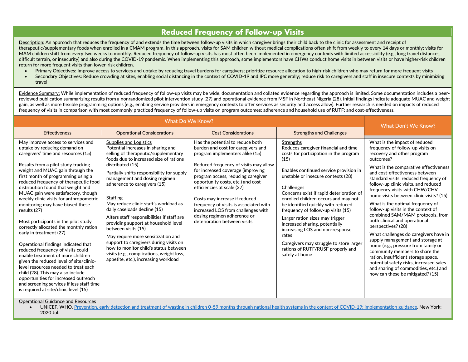#### **Reduced Frequency of Follow-up Visits**

Description: An approach that reduces the frequency of and extends the time between follow-up visits in which caregiver brings their child back to the clinic for assessment and receipt of therapeutic/supplementary foods when enrolled in a CMAM program. In this approach, visits for SAM children without medical complications often shift from weekly to every 14 days or monthly; visits for MAM children shift from every two weeks to monthly. Reduced frequency of follow-up visits has most often been implemented in emergency contexts with limited accessibility (e.g., long travel distances, difficult terrain, or insecurity) and also during the COVID-19 pandemic. When implementing this approach, some implementors have CHWs conduct home visits in between visits or have higher-risk children return for more frequent visits than lower-risk children.

- Primary Objectives: Improve access to services and uptake by reducing travel burdens for caregivers; prioritize resource allocation to high-risk children who may return for more frequent visits
- Secondary Objectives: Reduce crowding at sites, enabling social distancing in the context of COVID-19 and IPC more generally; reduce risk to caregivers and staff in insecure contexts by minimizing travel

Evidence Summary: While implementation of reduced frequency of follow-up visits may be wide, documentation and collated evidence regarding the approach is limited. Some documentation includes a peerreviewed publication summarizing results from a nonrandomized pilot intervention study (27) and operational evidence from MSF in Northeast Nigeria (28). Initial findings indicate adequate MUAC and weight gain, as well as more flexible programming options (e.g., enabling service providers in emergency contexts to offer services as security and access allow). Further research is needed on impacts of reduced frequency of visits in comparison with most commonly practiced frequency of follow-up visits on program outcomes; adherence and household use of RUTF; and cost-effectiveness.

|                                                                                                                                                                                                                                                                                                                                                                                                                                                                                                                                                                                                                                                                                                                                                                                                                                                                                                                                     | What Don't We Know?                                                                                                                                                                                                                                                                                                                                                                                                                                                                                                                                                                                                                                                                               |                                                                                                                                                                                                                                                                                                                                                                                                                                                                                  |                                                                                                                                                                                                                                                                                                                                                                                                                                                                                                                                                                                             |                                                                                                                                                                                                                                                                                                                                                                                                                                                                                                                                                                                                                                                                                                                                                                                                                                                |
|-------------------------------------------------------------------------------------------------------------------------------------------------------------------------------------------------------------------------------------------------------------------------------------------------------------------------------------------------------------------------------------------------------------------------------------------------------------------------------------------------------------------------------------------------------------------------------------------------------------------------------------------------------------------------------------------------------------------------------------------------------------------------------------------------------------------------------------------------------------------------------------------------------------------------------------|---------------------------------------------------------------------------------------------------------------------------------------------------------------------------------------------------------------------------------------------------------------------------------------------------------------------------------------------------------------------------------------------------------------------------------------------------------------------------------------------------------------------------------------------------------------------------------------------------------------------------------------------------------------------------------------------------|----------------------------------------------------------------------------------------------------------------------------------------------------------------------------------------------------------------------------------------------------------------------------------------------------------------------------------------------------------------------------------------------------------------------------------------------------------------------------------|---------------------------------------------------------------------------------------------------------------------------------------------------------------------------------------------------------------------------------------------------------------------------------------------------------------------------------------------------------------------------------------------------------------------------------------------------------------------------------------------------------------------------------------------------------------------------------------------|------------------------------------------------------------------------------------------------------------------------------------------------------------------------------------------------------------------------------------------------------------------------------------------------------------------------------------------------------------------------------------------------------------------------------------------------------------------------------------------------------------------------------------------------------------------------------------------------------------------------------------------------------------------------------------------------------------------------------------------------------------------------------------------------------------------------------------------------|
| <b>Effectiveness</b>                                                                                                                                                                                                                                                                                                                                                                                                                                                                                                                                                                                                                                                                                                                                                                                                                                                                                                                | <b>Operational Considerations</b>                                                                                                                                                                                                                                                                                                                                                                                                                                                                                                                                                                                                                                                                 | <b>Cost Considerations</b>                                                                                                                                                                                                                                                                                                                                                                                                                                                       | <b>Strengths and Challenges</b>                                                                                                                                                                                                                                                                                                                                                                                                                                                                                                                                                             |                                                                                                                                                                                                                                                                                                                                                                                                                                                                                                                                                                                                                                                                                                                                                                                                                                                |
| May improve access to services and<br>uptake by reducing demand on<br>caregivers' time and resources (15)<br>Results from a pilot study tracking<br>weight and MUAC gain through the<br>first month of programming using a<br>reduced frequency of therapeutic food<br>distribution found that weight and<br>MUAC gain were satisfactory, though<br>weekly clinic visits for anthropometric<br>monitoring may have biased these<br>results (27)<br>Most participants in the pilot study<br>correctly allocated the monthly ration<br>early in treatment (27)<br>Operational findings indicated that<br>reduced frequency of visits could<br>enable treatment of more children<br>given the reduced level of site/clinic-<br>level resources needed to treat each<br>child (28). This may also include<br>opportunities for increased outreach<br>and screening services if less staff time<br>is required at site/clinic level (15) | Supplies and Logistics<br>Potential increases in sharing and<br>selling of therapeutic/supplementary<br>foods due to increased size of rations<br>distributed (15)<br>Partially shifts responsibility for supply<br>management and dosing regimen<br>adherence to caregivers (15)<br>Staffing<br>May reduce clinic staff's workload as<br>daily caseloads decline (15)<br>Alters staff responsibilities if staff are<br>providing support at household level<br>between visits (15)<br>May require more sensitization and<br>support to caregivers during visits on<br>how to monitor child's status between<br>visits (e.g., complications, weight loss,<br>appetite, etc.), increasing workload | Has the potential to reduce both<br>burden and cost for caregivers and<br>program implementers alike (15)<br>Reduced frequency of visits may allow<br>for increased coverage (improving<br>program access, reducing caregiver<br>opportunity costs, etc.) and cost<br>efficiencies at scale (27)<br>Costs may increase if reduced<br>frequency of visits is associated with<br>increased LOS from challenges with<br>dosing regimen adherence or<br>deterioration between visits | <b>Strengths</b><br>Reduces caregiver financial and time<br>costs for participation in the program<br>(15)<br>Enables continued service provision in<br>unstable or insecure contexts (28)<br>Challenges<br>Concerns exist if rapid deterioration of<br>enrolled children occurs and may not<br>be identified quickly with reduced<br>frequency of follow-up visits (15)<br>Larger ration sizes may trigger<br>increased sharing, potentially<br>increasing LOS and non-response<br>rates<br>Caregivers may struggle to store larger<br>rations of RUTF/RUSF properly and<br>safely at home | What is the impact of reduced<br>frequency of follow-up visits on<br>recovery and other program<br>outcomes?<br>What is the comparative effectiveness<br>and cost-effectiveness between<br>standard visits, reduced frequency of<br>follow-up clinic visits, and reduced<br>frequency visits with CHW/CHV<br>home visits between clinic visits? (15)<br>What is the optimal frequency of<br>follow-up visits in the context of<br>combined SAM/MAM protocols, from<br>both clinical and operational<br>perspectives? (28)<br>What challenges do caregivers have in<br>supply management and storage at<br>home (e.g., pressure from family or<br>community members to share the<br>ration, insufficient storage space,<br>potential safety risks, increased sales<br>and sharing of commodities, etc.) and<br>how can these be mitigated? (15) |

#### Operational Guidance and Resources

• UNICEF, WHO, Prevention, early detection and treatment of wasting in children 0-59 months through national health systems in the context of COVID-19: implementation guidance. New York: 2020 Jul.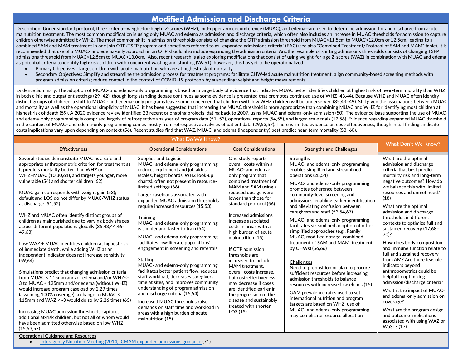#### **Modified Admission and Discharge Criteria**

Description: Under standard protocol, three criteria—weight-for-height Z-scores (WHZ), mid-upper arm circumference (MUAC), and edema—are used to determine admission for and discharge from acute malnutrition treatment. The most common modification is using only MUAC and edema as admission and discharge criteria, which often also includes an increase in MUAC thresholds for admission to capture children otherwise admitted by WHZ. The most common shift in admission thresholds consists of changing the OTP admission threshold from MUAC<11.5cm to MUAC<12.0cm or 12.5cm, leading to a combined SAM and MAM treatment in one join OTP/TSFP program and sometimes referred to as "expanded admissions criteria" (EAC) (see also "Combined Treatment/Protocol of SAM and MAM" table). It is recommended that use of a MUAC- and edema-only approach in an OTP should also include expanding the admission criteria. Another example of shifting admissions thresholds consists of changing TSFP admissions threshold from MUAC<12.5cm to MUAC<13.0cm. Also, recent research is also exploring modifications that consist of using weight-for-age Z-scores (WAZ) in combination with MUAC and edema as potential criteria to identify high-risk children with concurrent wasting and stunting (WaST); however, this has yet to be operationalized.

- Primary Objectives: Target children with acute malnutrition who are at highest risk of mortality
- Secondary Objectives: Simplify and streamline the admission process for treatment programs; facilitate CHW-led acute malnutrition treatment; align community-based screening methods with program admission criteria; reduce contact in the context of COVID-19 protocols by suspending weight and height measurements

Evidence Summary: The adoption of MUAC- and edema-only programming is based on a large body of evidence that indicates MUAC better identifies children at highest risk of near-term morality than WHZ in both clinic and outpatient settings (29–42); though long-standing debate continues as some evidence is presented that promotes continued use of WHZ (43,44). Because WHZ and MUAC often identify distinct groups of children, a shift to MUAC- and edema- only programs leave some concerned that children with low WHZ children will be underserved (35,43-49). Still given the associations between MUAC and mortality as well as the operational simplicity of MUAC, it has been suggested that increasing the MUAC threshold is more appropriate than combining MUAC and WHZ for identifying most children at highest risk of death (59). A 2020 evidence review identified 23 recent or ongoing projects, dating back to 2007, using MUAC-and edema-only admission (50). The evidence-base supporting the use of MUACand edema-only programming is comprised largely of retrospective analyses of program data (51–53), operational reports (54,55), and larger-scale trials (12,56). Evidence regarding expanded MUAC threshold in the context of MUAC- and edema-only programming comes mostly from retrospective analyses of patient data (29,53,57). There is limited evidence on cost-effectiveness, though initial findings indicate costs implications vary upon depending on context (56). Recent studies find that WAZ, MUAC, and edema (independently) best predict near-term mortality (58–60).

| <b>Effectiveness</b><br><b>Operational Considerations</b><br><b>Cost Considerations</b><br><b>Strengths and Challenges</b><br>Several studies demonstrate MUAC as a safe and<br>What are the optimal<br><b>Supplies and Logistics</b><br>One study reports<br><b>Strengths</b><br>MUAC- and edema-only programming<br>MUAC- and edema-only programming<br>overall costs within a<br>admission and discharge<br>appropriate anthropometric criterion for treatment as<br>it predicts mortality better than WHZ or<br>reduces equipment and job aides<br>MUAC- and edema-<br>enables simplified and streamlined<br>criteria that best predict<br>WHZ+MUAC (10,30,61), and targets younger, more<br>(scales, height boards, WHZ look-up<br>operations (28,54)<br>mortality risk and long-term<br>only program that<br>vulnerable (54) and shorter children (62)<br>charts), often not present in resource-<br>combined treatment of<br>negative outcomes? How do<br>MUAC- and edema-only programming<br>we balance this with limited<br>limited settings (66)<br>MAM and SAM using a<br>promotes coherence between<br>MUAC gain corresponds with weight gain (53);<br>reduced dosage were<br>resources and unmet need?<br>Larger caseloads associated with<br>community-level screening and<br>default and LOS do not differ by MUAC/WHZ status<br>lower than those for<br>(18)<br>expanded MUAC admission thresholds<br>admissions, enabling earlier identification<br>at discharge (51,52)<br>standard protocol (56)<br>require increased resources (15,53)<br>and alleviating confusion between<br>What are the optimal<br>caregivers and staff (53,54,67)<br>admission and discharge<br>WHZ and MUAC often identify distinct groups of<br>Increased admissions<br>thresholds in different<br>Training<br>MUAC- and edema-only programming<br>children as malnourished due to varying body shapes<br>increase associated<br>MUAC- and edema-only programming<br>contexts to optimize full and<br>facilitates streamlined adoption of other<br>costs in areas with a                                                                                                                                                                                                                                                                                             |                                                     |                                     |                                     |                                                                                                                                                           |
|-----------------------------------------------------------------------------------------------------------------------------------------------------------------------------------------------------------------------------------------------------------------------------------------------------------------------------------------------------------------------------------------------------------------------------------------------------------------------------------------------------------------------------------------------------------------------------------------------------------------------------------------------------------------------------------------------------------------------------------------------------------------------------------------------------------------------------------------------------------------------------------------------------------------------------------------------------------------------------------------------------------------------------------------------------------------------------------------------------------------------------------------------------------------------------------------------------------------------------------------------------------------------------------------------------------------------------------------------------------------------------------------------------------------------------------------------------------------------------------------------------------------------------------------------------------------------------------------------------------------------------------------------------------------------------------------------------------------------------------------------------------------------------------------------------------------------------------------------------------------------------------------------------------------------------------------------------------------------------------------------------------------------------------------------------------------------------------------------------------------------------------------------------------------------------------------------------------------------------------------------------------------------------------------------------------------------------------------------------------------|-----------------------------------------------------|-------------------------------------|-------------------------------------|-----------------------------------------------------------------------------------------------------------------------------------------------------------|
|                                                                                                                                                                                                                                                                                                                                                                                                                                                                                                                                                                                                                                                                                                                                                                                                                                                                                                                                                                                                                                                                                                                                                                                                                                                                                                                                                                                                                                                                                                                                                                                                                                                                                                                                                                                                                                                                                                                                                                                                                                                                                                                                                                                                                                                                                                                                                                 |                                                     |                                     |                                     | What Don't We Know?                                                                                                                                       |
| 49,63)<br>high burden of acute<br>70)?<br>MUAC- and edema-only programming<br>MUAC, modified dosage, combined<br>malnutrition (15)<br>facilitates low-literate populations'<br>treatment of SAM and MAM, treatment<br>How does body composition<br>Low WAZ + MUAC identifies children at highest risk<br>engagement in screening and referrals<br>by CHWs) (56,66)<br>If OTP admission<br>of immediate death, while adding WHZ as an<br>full and sustained recovery<br>independent indicator does not increase sensitivity<br>thresholds are<br><b>Staffing</b><br>from AM? Are there feasible<br>(59, 64)<br>increased to include<br><b>Challenges</b><br>MUAC- and edema-only programming<br>indicators beyond<br>MAM treatment.<br>Need to preposition or plan to procure<br>facilitates better patient flow, reduces<br>anthropometrics could be<br>Simulations predict that changing admission criteria<br>overall costs increase.<br>sufficient resources before increasing<br>staff workload, decreases caregivers'<br>helpful in optimizing<br>from MUAC < 115mm and/or edema and/or WHZ <-<br>but cost-effectiveness<br>admission thresholds to balance<br>time at sites, and improves community<br>admission/discharge criteria?<br>3 to MUAC < 125mm and/or edema (without WHZ)<br>may decrease if cases<br>resources with increased caseloads (15)<br>understanding of program admission<br>would increase program caseload by 2.29 times<br>are identified earlier in<br>GAM prevalence rates used to set<br>and discharge criteria (15,54)<br>(assuming 100% coverage); a change to MUAC <<br>the progression of the<br>international nutrition and program<br>115mm and WAZ < -3 would do so by 2.26 times (65)<br>disease and sustainably<br>Increased MUAC thresholds raise<br>coverage?<br>targets are based on WHZ; use of<br>treated with shorter<br>demands on staff time and workload in<br>MUAC- and edema-only programming<br>What are the program design<br>Increasing MUAC admission thresholds captures<br>LOS(15)<br>areas with a high burden of acute<br>and outcome implications<br>may complicate resource allocation<br>additional at-risk children, but not all of whom would<br>malnutrition (15)<br>have been admitted otherwise based on low WHZ<br>WaST? (17)<br>(15, 53, 57)<br><b>Operational Guidance and Resources</b> | across different populations globally (35,43,44,46- | is simpler and faster to train (54) | simplified approaches (e.g., Family | sustained recovery (17,68-<br>and immune function relate to<br>What is the impact of MUAC-<br>and edema-only admission on<br>associated with using WAZ or |

• [Interagency Nutrition Meeting \(2014\). CMAM expanded admissions guidance](https://www.ennonline.net/cmamexpandedadmissionsguidance) (71)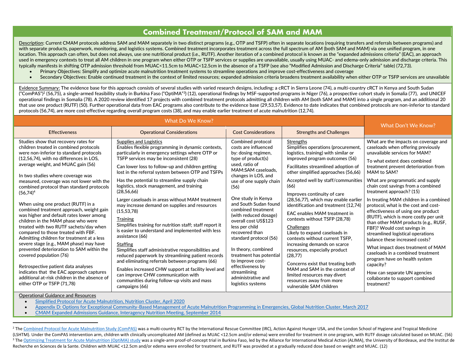#### **Combined Treatment/Protocol of SAM and MAM**

Description: Current CMAM protocols address SAM and MAM separately in two distinct programs (e.g., OTP and TSFP) often in separate locations (requiring transfers and referrals between programs) and with separate products, paperwork, monitoring, and logistics systems. Combined treatment incorporates treatment across the full spectrum of AM (both SAM and MAM) via one unified program, in one location. This approach can often, but does not always, use one nutritional product (i.e., RUTF). Another iteration of a combined protocol is known as the "expanded admissions criteria" (EAC), an approach used in emergency contexts to treat all AM children in one program when either OTP or TSFP services or supplies are unavailable, usually using MUAC- and edema-only admission and discharge criteria. This typically manifests in shifting OTP admission threshold from MUAC<11.5cm to MUAC<12.5cm in the absence of a TSFP (see also "Modified Admission and Discharge Criteria" table) (72,73).

- Primary Objectives: Simplify and optimize acute malnutrition treatment systems to streamline operations and improve cost-effectiveness and coverage
- Secondary Objectives: Enable continued treatment in the context of limited resources; expanded admission criteria broadens treatment availability when either OTP or TSFP services are unavailable

Evidence Summary: The evidence base for this approach consists of several studies with varied research designs, including: a cRCT in Sierra Leone (74), a multi-country cRCT in Kenya and South Sudan ("ComPAS")<sup>2</sup> (56,75), a single-armed feasibility study in Burkina Faso ("OptiMA"<sup>3</sup>) (12), operational findings by MSF-supported programs in Niger (76), a prospective cohort study in Somalia (77), and UNICEF operational findings in Somalia (78). A 2020 review identified 17 projects with combined treatment protocols admitting all children with AM (both SAM and MAM) into a single program, and an additional 20 that use one product (RUTF) (50). Further operational data from EAC programs also contribute to the evidence base (29,53,57). Evidence to date indicates that combined protocols are non-inferior to standard protocols (56,74), are more cost-effective regarding overall program costs (38), and may enable earlier treatment of acute malnutrition (12,74).

|                                                                                                                                                                                                                                                                                                                                                                                                                                                                                                                                                                                                                                                                                                                                                                                                                                                                                                                    | What Don't We Know?                                                                                                                                                                                                                                                                                                                                                                                                                                                                                                                                                                                                                                                                                                                                                                                                                                                                                                                                                                                              |                                                                                                                                                                                                                                                                                                                                                                                                                                                                                                              |                                                                                                                                                                                                                                                                                                                                                                                                                                                                                                                                                                                                                                                                                                                                                     |                                                                                                                                                                                                                                                                                                                                                                                                                                                                                                                                                                                                                                                                                                                                                                                                                    |
|--------------------------------------------------------------------------------------------------------------------------------------------------------------------------------------------------------------------------------------------------------------------------------------------------------------------------------------------------------------------------------------------------------------------------------------------------------------------------------------------------------------------------------------------------------------------------------------------------------------------------------------------------------------------------------------------------------------------------------------------------------------------------------------------------------------------------------------------------------------------------------------------------------------------|------------------------------------------------------------------------------------------------------------------------------------------------------------------------------------------------------------------------------------------------------------------------------------------------------------------------------------------------------------------------------------------------------------------------------------------------------------------------------------------------------------------------------------------------------------------------------------------------------------------------------------------------------------------------------------------------------------------------------------------------------------------------------------------------------------------------------------------------------------------------------------------------------------------------------------------------------------------------------------------------------------------|--------------------------------------------------------------------------------------------------------------------------------------------------------------------------------------------------------------------------------------------------------------------------------------------------------------------------------------------------------------------------------------------------------------------------------------------------------------------------------------------------------------|-----------------------------------------------------------------------------------------------------------------------------------------------------------------------------------------------------------------------------------------------------------------------------------------------------------------------------------------------------------------------------------------------------------------------------------------------------------------------------------------------------------------------------------------------------------------------------------------------------------------------------------------------------------------------------------------------------------------------------------------------------|--------------------------------------------------------------------------------------------------------------------------------------------------------------------------------------------------------------------------------------------------------------------------------------------------------------------------------------------------------------------------------------------------------------------------------------------------------------------------------------------------------------------------------------------------------------------------------------------------------------------------------------------------------------------------------------------------------------------------------------------------------------------------------------------------------------------|
| <b>Effectiveness</b>                                                                                                                                                                                                                                                                                                                                                                                                                                                                                                                                                                                                                                                                                                                                                                                                                                                                                               | <b>Operational Considerations</b>                                                                                                                                                                                                                                                                                                                                                                                                                                                                                                                                                                                                                                                                                                                                                                                                                                                                                                                                                                                | <b>Cost Considerations</b>                                                                                                                                                                                                                                                                                                                                                                                                                                                                                   | <b>Strengths and Challenges</b>                                                                                                                                                                                                                                                                                                                                                                                                                                                                                                                                                                                                                                                                                                                     |                                                                                                                                                                                                                                                                                                                                                                                                                                                                                                                                                                                                                                                                                                                                                                                                                    |
| Studies show that recovery rates for<br>children treated in combined protocols<br>were non-inferior to standard protocols<br>(12,56,74), with no differences in LOS,<br>average weight, and MUAC gain (56)<br>In two studies where coverage was<br>measured, coverage was not lower with the<br>combined protocol than standard protocols<br>$(56,74)^4$<br>When using one product (RUTF) in a<br>combined treatment approach, weight gain<br>was higher and default rates lower among<br>children in the MAM phase who were<br>treated with two RUTF sachets/day when<br>compared to those treated with FBF.<br>Admitting children for treatment at a less<br>severe stage (e.g., MAM phase) may have<br>prevented deterioration to SAM within the<br>covered population (76)<br>Retrospective patient data analyses<br>indicates that the EAC approach captures<br>additional at-risk children in the absence of | <b>Supplies and Logistics</b><br>Enables flexible programming in dynamic contexts,<br>particularly in emergency settings where OTP or<br>TSFP services may be inconsistent (28)<br>Can lower loss to follow-up and children getting<br>lost in the referral system between OTP and TSFPs<br>Has the potential to streamline supply chain<br>logistics, stock management, and training<br>(28, 56, 66)<br>Larger caseloads in areas without MAM treatment<br>may increase demand on supplies and resources<br>(15, 53, 78)<br><b>Training</b><br>Simplifies training for nutrition staff; staff report it<br>is easier to understand and implemented with less<br>assistance (66)<br><b>Staffing</b><br>Simplifies staff administrative responsibilities and<br>reduced paperwork by streamlining patient records<br>and eliminating referrals between programs (66)<br>Enables increased CHW support at facility level and<br>can improve CHW communication with<br>communities during follow-up visits and mass | Combined protocol<br>costs are influenced<br>by: dosing regimen,<br>type of product(s)<br>used, ratio of<br>MAM:SAM caseloads.<br>changes in LOS, and<br>use of one supply chain<br>(56)<br>One study in Kenya<br>and South Sudan found<br>combined treatment<br>(with reduced dosage)<br>overall cost US\$123<br>less per child<br>recovered than<br>standard protocol (56)<br>In theory, combined<br>treatment has potential<br>to improve cost-<br>effectiveness by<br>streamlining<br>administrative and | <b>Strengths</b><br>Simplifies operations (procurement,<br>logistics, training) with similar or<br>improved program outcomes (56)<br>Facilitates streamlined adoption of<br>other simplified approaches (56,66)<br>Accepted well by staff/communities<br>(66)<br>Improves continuity of care<br>(28,56,77), which may enable earlier<br>identification and treatment (12,74)<br><b>EAC enables MAM treatment in</b><br>contexts without TSFP (28,78)<br>Challenges<br>Likely to expand caseloads in<br>contexts without current TSFP,<br>increasing demands on scarce<br>resources, especially product<br>(28,77)<br>Concerns exist that treating both<br>MAM and SAM in the context of<br>limited resources may divert<br>resources away from more | What are the impacts on coverage and<br>caseloads when offering previously<br>unavailable services for MAM?<br>To what extent does combined<br>treatment prevent deterioration from<br>MAM to SAM?<br>What are programmatic and supply<br>chain cost savings from a combined<br>treatment approach? (15)<br>In treating MAM children in a combined<br>protocol, what is the cost and cost-<br>effectiveness of using one product<br>(RUTF), which is more costly per unit<br>than other MAM products (e.g., RUSF,<br>FBF)? Would cost savings in<br>streamlined logistical operations<br>balance these increased costs?<br>What impact does treatment of MAM<br>caseloads in a combined treatment<br>program have on health system<br>capacity?<br>How can separate UN agencies<br>collaborate to support combined |
| either OTP or TSFP (71,78)<br><b>Operational Guidance and Resources</b>                                                                                                                                                                                                                                                                                                                                                                                                                                                                                                                                                                                                                                                                                                                                                                                                                                            | campaigns (66)                                                                                                                                                                                                                                                                                                                                                                                                                                                                                                                                                                                                                                                                                                                                                                                                                                                                                                                                                                                                   | logistics systems                                                                                                                                                                                                                                                                                                                                                                                                                                                                                            | vulnerable SAM children                                                                                                                                                                                                                                                                                                                                                                                                                                                                                                                                                                                                                                                                                                                             | treatment?                                                                                                                                                                                                                                                                                                                                                                                                                                                                                                                                                                                                                                                                                                                                                                                                         |

- [Simplified Protocol for Acute Malnutrition, Nutrition Cluster, April 2020](https://www.nutritioncluster.net/sites/nutritioncluster.com/files/2020-04/simplified%20protocol%202%20pager_23%20April%202020.pdf)
- [Appendix D: Options for Exceptional Community-Based Management of Acute Malnutrition Programming in Emergencies, Global Nutrition Cluster, March 2017](https://www.nutritioncluster.net/sites/nutritioncluster.com/files/2021-01/DECISION-TOOL-FOR-MAM_w-exceptional-cicumstances_-May-2017-update-final1.pdf)
- [CMAM Expanded Admissions Guidance, Interagency Nutrition Meeting, September 2014](http://www.ennonline.net/cmamexpandedadmissionsguidance)

<sup>&</sup>lt;sup>2</sup> Th[e Combined Protocol for Acute Malnutrition Study \(ComPAS\)](https://pubmed.ncbi.nlm.nih.gov/29690916/) was a multi-country RCT by the International Rescue Committee (IRC), Action Against Hunger USA, and the London School of Hygiene and Tropical Medicine (LSHTM). Under the ComPAS intervention arm, children with clinically uncomplicated AM (defined as MUAC <12.5cm and/or edema) were enrolled for treatment in one program, with RUTF dosage calculated based on MUAC. (56) <sup>3</sup> Th[e Optimizing Treatment for Acute Malnutrition \(OptiMA\) study](https://www.ncbi.nlm.nih.gov/pmc/articles/PMC7054246/) was a single-arm proof-of-concept trial in Burkina Faso, led by the Alliance for International Medical Action (ALIMA), the University of Bordeaux, and the Recherche en Sciences de la Sante. Children with MUAC <12.5cm and/or edema were enrolled for treatment, and RUTF was provided at a gradually reduced dose based on weight and MUAC. (12)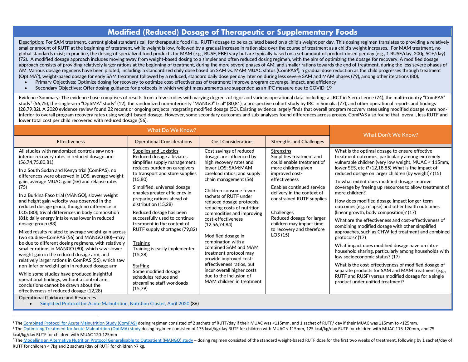#### **Modified (Reduced) Dosage of Therapeutic or Supplementary Foods**

Description: For SAM treatment, current global standards call for therapeutic food (i.e., RUTF) dosage to be calculated based on a child's weight per day. This dosing regimen translates to providing a relatively smaller amount of RUTF at the beginning of treatment, while weight is low, followed by a gradual increase in ration size over the course of treatment as a child's weight increases. For MAM treatment, no global standards exist; in practice, the dosing of specialized food products for MAM (e.g., RUSF, FBF) vary but are typically based on a set amount of product dosed per day (e.g., 1 RUSF/day, 200g SC+/day) (72). A modified dosage approach includes moving away from weight-based dosing to a simpler and often reduced dosing regimen, with the aim of optimizing the dosage for recovery. A modified dosage approach consists of providing relatively larger rations at the beginning of treatment, during the more severe phases of AM, and smaller rations towards the end of treatment, during the less severe phases of AM. Various dosage regimens have been piloted, including: a standardized daily dose based on SAM vs. MAM MUAC status (ComPAS<sup>4</sup> ), a gradual dose reduction as the child progresses through treatment (OptiMA<sup>5</sup> ), weight-based dosage for early SAM treatment followed by a reduced, standard daily dose per day later on during less severe SAM and MAM phases (79), among other iterations (80).

- Primary Objectives: Optimize dosing for recovery to optimize cost-effectiveness of treatment; Improve program coverage, impact, and efficiency
- Secondary Objectives: Offer dosing guidance for protocols in which weight measurements are suspended as an IPC measure due to COVID-19

Evidence Summary: The evidence base comprises of results from a few studies with varying degrees of rigor and various operational data, including: a cRCT in Sierra Leone (74), the multi-country "ComPAS" study<sup>5</sup> (56,75), the single-arm "OptiMA" study<sup>6</sup> (12), the randomized non-inferiority "MANGO" trial<sup>6</sup> (80,81), a prospective cohort study by IRC in Somalia (77), and other operational reports and findings (28,79,82). A 2020 evidence review found 22 recent or ongoing projects integrating modified dosage (50). Existing evidence largely finds that overall program recovery rates using modified dosage were noninferior to overall program recovery rates using weight-based dosage. However, some secondary outcomes and sub-analyses found differences across groups. ComPAS also found that, overall, less RUTF and lower total cost per child recovered with reduced dosage (56).

|                                                                                                                                                                                                                                                                                                                                                                                                                                                                                                                                                                                                                                                                                                                                                                                                                                                                                                                                                                                                                                                                                                                            | What Don't We Know?                                                                                                                                                                                                                                                                                                                                                                                                                                                                                                                                                                                      |                                                                                                                                                                                                                                                                                                                                                                                                                                                                                                                                                                                               |                                                                                                                                                                                                                                                                                                                                     |                                                                                                                                                                                                                                                                                                                                                                                                                                                                                                                                                                                                                                                                                                                                                                                                                                                                                                                                                                                                                                                                                            |
|----------------------------------------------------------------------------------------------------------------------------------------------------------------------------------------------------------------------------------------------------------------------------------------------------------------------------------------------------------------------------------------------------------------------------------------------------------------------------------------------------------------------------------------------------------------------------------------------------------------------------------------------------------------------------------------------------------------------------------------------------------------------------------------------------------------------------------------------------------------------------------------------------------------------------------------------------------------------------------------------------------------------------------------------------------------------------------------------------------------------------|----------------------------------------------------------------------------------------------------------------------------------------------------------------------------------------------------------------------------------------------------------------------------------------------------------------------------------------------------------------------------------------------------------------------------------------------------------------------------------------------------------------------------------------------------------------------------------------------------------|-----------------------------------------------------------------------------------------------------------------------------------------------------------------------------------------------------------------------------------------------------------------------------------------------------------------------------------------------------------------------------------------------------------------------------------------------------------------------------------------------------------------------------------------------------------------------------------------------|-------------------------------------------------------------------------------------------------------------------------------------------------------------------------------------------------------------------------------------------------------------------------------------------------------------------------------------|--------------------------------------------------------------------------------------------------------------------------------------------------------------------------------------------------------------------------------------------------------------------------------------------------------------------------------------------------------------------------------------------------------------------------------------------------------------------------------------------------------------------------------------------------------------------------------------------------------------------------------------------------------------------------------------------------------------------------------------------------------------------------------------------------------------------------------------------------------------------------------------------------------------------------------------------------------------------------------------------------------------------------------------------------------------------------------------------|
| <b>Effectiveness</b>                                                                                                                                                                                                                                                                                                                                                                                                                                                                                                                                                                                                                                                                                                                                                                                                                                                                                                                                                                                                                                                                                                       | <b>Operational Considerations</b>                                                                                                                                                                                                                                                                                                                                                                                                                                                                                                                                                                        | <b>Cost Considerations</b>                                                                                                                                                                                                                                                                                                                                                                                                                                                                                                                                                                    | <b>Strengths and Challenges</b>                                                                                                                                                                                                                                                                                                     |                                                                                                                                                                                                                                                                                                                                                                                                                                                                                                                                                                                                                                                                                                                                                                                                                                                                                                                                                                                                                                                                                            |
| All studies with randomized controls saw non-<br>inferior recovery rates in reduced dosage arm<br>(56,74,75,80,81)<br>In a South Sudan and Kenya trial (ComPAS), no<br>differences were observed in LOS, average weight<br>gain, average MUAC gain (56) and relapse rates<br>(75)<br>In a Burkina Faso trial (MANGO), slower weight<br>and height gain velocity was observed in the<br>reduced dosage group, though no difference in<br>LOS (80); trivial differences in body composition<br>(81); daily energy intake was lower in reduced<br>dosage group (83)<br>Mixed results related to average weight gain across<br>two studies-ComPAS (56) and MANGO (80)-may<br>be due to different dosing regimens, with relatively<br>smaller rations in MANGO (80), which saw slower<br>weight gain in the reduced dosage arm, and<br>relatively larger rations in ComPAS (56), which saw<br>non-inferior weight gain in reduced dosage arm<br>While some studies have produced insightful<br>operational findings, without a control arm,<br>conclusions cannot be drawn about the<br>effectiveness of reduced dosage (12,28) | <b>Supplies and Logistics</b><br>Reduced dosage alleviates<br>simplifies supply management;<br>reduces burden on caregivers<br>to transport and store supplies<br>(15,80)<br>Simplified, universal dosage<br>enables greater efficiency in<br>preparing rations ahead of<br>distribution (15,28)<br>Reduced dosage has been<br>successfully used to continue<br>treatment in the context of<br>RUTF supply shortages (79,82)<br><b>Training</b><br>Training is easily implemented<br>(15,28)<br><b>Staffing</b><br>Some modified dosage<br>schedules reduce and<br>streamline staff workloads<br>(15,79) | Cost savings of reduced<br>dosage are influenced by<br>high recovery rates and<br>lower LOS: SAM:MAM<br>caseload ratios; and supply<br>chain management (56)<br>Children consume fewer<br>sachets of RUTF under<br>reduced dosage protocols,<br>reducing costs of nutrition<br>commodities and improving<br>cost-effectiveness<br>(12, 56, 74, 84)<br>Modified dosage in<br>combination with a<br>combined SAM and MAM<br>treatment protocol may<br>provide improved cost-<br>effectiveness ratios, but<br>incur overall higher costs<br>due to the inclusion of<br>MAM children in treatment | Strengths<br>Simplifies treatment and<br>could enable treatment of<br>more children given<br>improved cost-<br>effectiveness<br>Enables continued service<br>delivery in the context of<br>constrained RUTF supplies<br>Challenges<br>Reduced dosage for larger<br>children may impact time<br>to recovery and therefore<br>LOS(15) | What is the optimal dosage to ensure effective<br>treatment outcomes, particularly among extremely<br>vulnerable children (very low weight, MUAC < 115mm,<br>lower SES, etc.)? (12,18,85) What is the impact of<br>reduced dosage on larger children (by weight)? (15)<br>To what extent does modified dosage improve<br>coverage by freeing up resources to allow treatment of<br>more children?<br>How does modified dosage impact longer-term<br>outcomes (e.g. relapse) and other health outcomes<br>(linear growth, body composition)? (17)<br>What are the effectiveness and cost-effectiveness of<br>combining modified dosage with other simplified<br>approaches, such as CHW-led treatment and combined<br>protocols? (17)<br>What impact does modified dosage have on intra-<br>household sharing, particularly among households with<br>low socioeconomic status? (17)<br>What is the cost-effectiveness of modified dosage of<br>separate products for SAM and MAM treatment (e.g.,<br>RUTF and RUSF) versus modified dosage for a single<br>product under unified treatment? |
| <b>Operational Guidance and Resources</b>                                                                                                                                                                                                                                                                                                                                                                                                                                                                                                                                                                                                                                                                                                                                                                                                                                                                                                                                                                                                                                                                                  |                                                                                                                                                                                                                                                                                                                                                                                                                                                                                                                                                                                                          |                                                                                                                                                                                                                                                                                                                                                                                                                                                                                                                                                                                               |                                                                                                                                                                                                                                                                                                                                     |                                                                                                                                                                                                                                                                                                                                                                                                                                                                                                                                                                                                                                                                                                                                                                                                                                                                                                                                                                                                                                                                                            |

• [Simplified Protocol for Acute Malnutrition, Nutrition Cluster, April 2020](https://www.nutritioncluster.net/sites/nutritioncluster.com/files/2020-04/simplified%20protocol%202%20pager_23%20April%202020.pdf) (86)

<sup>4</sup> Th[e Combined Protocol for Acute Malnutrition Study \(ComPAS\)](https://pubmed.ncbi.nlm.nih.gov/29690916/) dosing regimen consisted of 2 sachets of RUTF/day if their MUAC was <115mm, and 1 sachet of RUTF/ day if their MUAC was 115mm to <125mm.

<sup>5</sup> Th[e Optimizing Treatment for Acute Malnutrition \(OptiMA\) study](https://www.ncbi.nlm.nih.gov/pmc/articles/PMC7054246/) dosing regimen consisted of 175 kcal/kg/day RUTF for children with MUAC < 115mm, 125 kcal/kg/day RUTF for children with MUAC 115-120mm, and 75 kcal/kg/day RUTF for children with MUAC 120-125mm

<sup>&</sup>lt;sup>6</sup> Th[e Modelling an Alternative Nutrition Protocol Generalisable to Outpatient \(MANGO\) study](https://journals.plos.org/plosmedicine/article?id=10.1371/journal.pmed.1002887#abstract0) – dosing regimen consisted of the standard weight-based RUTF dose for the first two weeks of treatment, following by 1 sachet/da RUTF for children < 7kg and 2 sachets/day of RUTF for children >7 kg.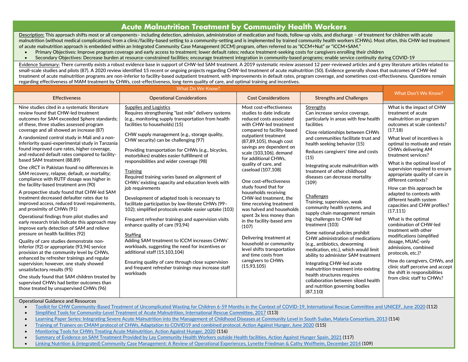#### **Acute Malnutrition Treatment by Community Health Workers**

Description: This approach shifts most or all components- including detection, admission, administration of medication and foods, follow-up visits, and discharge - of treatment for children with acute malnutrition (without medical complications) from a clinic/facility-based setting to a community-setting and is implemented by trained community health workers (CHWs). Most often, this CHW-led treatment of acute malnutrition approach is embedded within an Integrated Community Case Management (ICCM) program, often referred to as "ICCM+Nut" or "iCCM+SAM."

- Primary Objectives: Improve program coverage and early access to treatment; lower default rates; reduce treatment-seeking costs for caregivers enrolling their children
- Secondary Objectives: Decrease burden at resource-constrained facilities; encourage treatment integration in community-based programs; enable service continuity during COVID-19

Evidence Summary: There currently exists a robust evidence base in support of CHW-led SAM treatment. A 2019 systematic review assessed 12 peer-reviewed articles and 6 grey literature articles related to small-scale studies and pilots (87). A 2020 review identified 15 recent or ongoing projects regarding CHW-led treatment of acute malnutrition (50). Evidence generally shows that outcomes of CHW-led treatment of acute malnutrition programs are non-inferior to facility-based outpatient treatment, with improvements in default rates, program coverage, and sometimes cost-effectiveness. Questions remain regarding effectiveness of MAM treatment by CHWs, cost-effectiveness, long-term quality of care, and optimal training and incentives.

What Do We Know? What Don't We Know? Effectiveness **Effectiveness Considerational Considerations Cost Considerations** Strengths and Challenges Nine studies cited in a systematic literature review found that CHW-led treatment outcomes for SAM exceeded Sphere standards; of these, three studies assessed program coverage and all showed an increase (87) A randomized control study in Mali and a noninferiority quasi-experimental study in Tanzania found improved cure rates, higher coverage, and reduced default rates compared to facilitybased SAM treatment (88,89) One cRCT in Pakistan found no differences in SAM recovery, relapse, default, or mortality; compliance with RUTF dosage was higher in the facility-based treatment arm (90) A prospective study found that CHW-led SAM treatment decreased defaulter rates due to improved access, reduced travel requirements, and proximity of CHWs (91) Operational findings from pilot studies and early research trials indicate this approach may improve early detection of SAM and relieve pressure on health facilities (92) Quality of care studies demonstrate noninferior (92) or appropriate (93,94) service provision at the community level by CHWs, enhanced by refresher trainings and regular supervision; however, one study showed unsatisfactory results (95) One study found that SAM children treated by supervised CHWs had better outcomes than those treated by unsupervised CHWs (96) Supplies and Logistics Requires strengthening "last mile" delivery systems (e.g., monitoring supply transportation from health facilities to households) (15) CHW supply management (e.g., storage quality, CHW security) can be challenging (97) Providing transportation for CHWs (e.g., bicycles, motorbikes) enables easier fulfillment of responsibilities and wider coverage (98) **Training** Required training varies based on alignment of CHWs' existing capacity and education levels with job requirements Development of adapted tools is necessary to facilitate participation by low-literate CHWs (99– 102); simplified protocols enable easier uptake (103) Frequent refresher trainings and supervision visits enhance quality of care (93,94) Staffing Adding SAM treatment to ICCM increases CHWs' workloads, suggesting the need for incentives or additional staff (15,103,104) Ensuring quality of care through close supervision and frequent refresher trainings may increase staff workloads Most cost-effectiveness studies to date indicate reduced costs associated with CHW-led treatment compared to facility-based outpatient treatment (87,89,105), though cost savings are dependent on scale (103,106), demand for additional CHWs, quality of care, and caseload (107,108) One cost-effectiveness study found that for households receiving CHW-led treatment, the time receiving treatment was halved and households spent 3x less money than in the facility-based arm (107) Delivering treatment at household or community level shifts transportation and time costs from caregivers to CHWs (15,93,105) **Strengths** Can increase service coverage, particularly in areas with few health facilities Close relationships between CHWs and communities facilitate trust and health seeking behavior (15) Reduces caregivers' time and costs (15) Integrating acute malnutrition with treatment of other childhood diseases can decrease mortality (109) **Challenges** Training, supervision, weak community health systems, and supply chain management remain big challenges to CHW-led treatment (103) Some national policies prohibit CHW administration of medications (e.g., antibiotics, deworming medication, etc.), which would limit ability to administer SAM treatment Integrating CHW-led acute malnutrition treatment into existing health structures requires collaboration between siloed health and nutrition governing bodies (87,110) What is the impact of CHW treatment of acute malnutrition on program outcomes at scale contexts? (17,18) What level of incentives is optimal to motivate and retain CHWs delivering AM treatment services? What is the optimal level of supervision required to ensure appropriate quality of care in different contexts? How can this approach be adapted to contexts with different health system capacities and CHW profiles? (17,111) What is the optimal combination of CHW-led treatment with other modifications (simplified dosage, MUAC-only admissions, combined protocols, etc.)? How do caregivers, CHWs, and clinic staff perceive and accept the shift in responsibilities from clinic staff to CHWs?

Operational Guidance and Resources

- [Toolkit for CHW Community-Based Treatment of Uncomplicated Wasting for Children 6-59 Months in the Context of](https://www.ennonline.net/attachments/3570/CHW-community-based-treatment-toolkit-COVID-FULL.pdf) COVID-19, International Rescue Committee and UNICEF, June 2020 (112)
- Simplified [Tools for Community-Level Treatment of Acute Malnutrition, International Rescue Committee, 2017](https://www.acutemalnutrition.org/en/Simplified-Approaches-Tools) (113)
- [Learning Paper Series: Integrating Severe Acute Malnutrition into the Management of Childhood Diseases at Community Level in South Sudan, Malaria Consortium, 2013](https://www.malariaconsortium.org/media-downloads/248/) (114)
- Training of Trainers on CMAM protocol of CHWs. Adaptation to COVID19 and combined protocol. Action Against Hunger, June 2020 (115)
- [Monitoring Tools for CHWs Treating Acute Malnutrition. Action Against Hunger, 2020](https://www.accioncontraelhambre.org/en/monitoring-tools-chws-treating-acute-malnutrition) (116)
- [Summary of Evidence on SAM Treatment Provided by Lay Community Health Workers outside Health facilities, Action Against Hunger Spain, 2021](https://acutemalnutrition.org/en/resource-library/68eRQQabOf8nwgG0yufArH) (117)
- [Linking Nutrition & \(integrated\) Community Case Management: A Review of Operational Experiences, Lynette Friedman & Cathy Wolfheim, December 2014](https://www.ennonline.net/attachments/2317/Linking-Nutrition-ICCM-%28Final-Report%29.pdf) (109)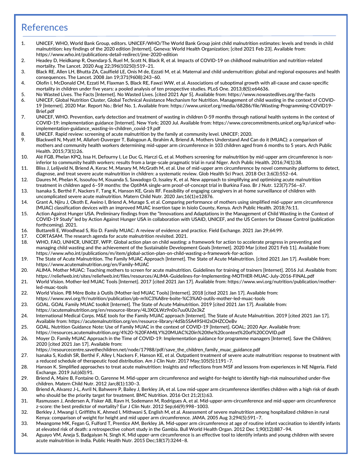### References

- 1. UNICEF, WHO, World Bank Group, editors. UNICEF/WHO/The World Bank Group joint child malnutrition estimates: levels and trends in child malnutrition: key findings of the 2020 edition [Internet]. Geneva: World Health Organization; [cited 2021 Feb 23]. Available from: https://www.who.int/publications-detail-redirect/jme-2020-edition
- 2. Headey D, Heidkamp R, Osendarp S, Ruel M, Scott N, Black R, et al. Impacts of COVID-19 on childhood malnutrition and nutrition-related mortality. The Lancet. 2020 Aug 22;396(10250):519–21.
- 3. Black RE, Allen LH, Bhutta ZA, Caulfield LE, Onis M de, Ezzati M, et al. Maternal and child undernutrition: global and regional exposures and health consequences. The Lancet. 2008 Jan 19;371(9608):243–60.
- 4. Olofin I, McDonald CM, Ezzati M, Flaxman S, Black RE, Fawzi WW, et al. Associations of suboptimal growth with all-cause and cause-specific mortality in children under five years: a pooled analysis of ten prospective studies. PLoS One. 2013;8(5):e64636.
- 5. No Wasted Lives. The Facts [Internet]. No Wasted Lives. [cited 2021 Apr 5]. Available from: https://www.nowastedlives.org/the-facts
- 6. UNICEF, Global Nutrition Cluster, Global Technical Assistance Mechanism for Nutrition. Management of child wasting in the context of COVID-19 [Internet]. 2020 Mar. Report No.: Brief No. 1. Available from: https://www.unicef.org/media/68286/file/Wasting-Programming-COVID19- Brief.pdf
- 7. UNICEF, WHO. Prevention, early detection and treatment of wasting in children 0-59 months through national health systems in the context of COVID-19: implementation guidance [Internet]. New York; 2020 Jul. Available from: https://www.corecommitments.unicef.org/kp/unicef-whoimplementation-guidance\_wasting-in-children\_covid-19.pdf
- 8. UNICEF. Rapid review: screening of acute malnutrition by the family at community level. UNICEF; 2020. 9. Blackwell N, Myatt M, Allafort-Duverger T, Balogoun A, Ibrahim A, Briend A. Mothers Understand And Can do it (MUAC): a comparison of mothers and community health workers determining mid-upper arm circumference in 103 children aged from 6 months to 5 years. Arch Public Health. 2015;73(1):26.
- 10. Alé FGB, Phelan KPQ, Issa H, Defourny I, Le Duc G, Harczi G, et al. Mothers screening for malnutrition by mid-upper arm circumference is noninferior to community health workers: results from a large-scale pragmatic trial in rural Niger. Arch Public Health. 2016;74(1):38.
- 11. Bliss J, Lelijveld N, Briend A, Kerac M, Manary M, McGrath M, et al. Use of mid-upper arm circumference by novel community platforms to detect, diagnose, and treat severe acute malnutrition in children: a systematic review. Glob Health Sci Pract. 2018 Oct 3;6(3):552–64.
- 12. Daures M, Phelan K, Issoufou M, Kouanda S, Sawadogo O, Issaley K, et al. New approach to simplifying and optimising acute malnutrition treatment in children aged 6–59 months: the OptiMA single-arm proof-of-concept trial in Burkina Faso. Br J Nutr. 123(7):756–67.
- 13. Isanaka S, Berthé F, Nackers F, Tang K, Hanson KE, Grais RF. Feasibility of engaging caregivers in at-home surveillance of children with uncomplicated severe acute malnutrition. Matern Child Nutr. 2020 Jan;16(1):e12876.
- 14. Grant A, Njiru J, Okoth E, Awino I, Briend A, Murage S, et al. Comparing performance of mothers using simplified mid-upper arm circumference (MUAC) classification devices with an improved MUAC insertion tape in Isiolo County, Kenya. Arch Public Health. 2018;76:11.
- 15. Action Against Hunger USA. Preliminary findings from the "Innovations and Adaptations in the Management of Child Wasting in the Context of COVID-19 Study" led by Action Against Hunger USA in collaboration with USAID, UNICEF, and the US Centers for Disease Control (publication forthcoming). 2021.
- 16. Buttarelli E, Woodhead S, Rio D. Family MUAC: A review of evidence and practice. Field Exchange. 2021 Jan 29;64:99.
- 17. CORTASAM. The research agenda for acute malnutrition revisited. 2021.
- 18. WHO, FAO, UNHCR, UNICEF, WFP. Global action plan on child wasting: a framework for action to accelerate progress in preventing and managing child wasting and the achievement of the Sustainable Development Goals [Internet]. 2020 Mar [cited 2021 Feb 11]. Available from: https://www.who.int/publications/m/item/global-action-plan-on-child-wasting-a-framework-for-action
- 19. The State of Acute Malnutrition. The Family MUAC Approach [Internet]. The State of Acute Malnutrition. [cited 2021 Jan 17]. Available from: https://www.acutemalnutrition.org/en/Family-MUAC
- 20. ALIMA. Mother MUAC: Teaching mothers to screen for acute malnutrition. Guidelines for training of trainers [Internet]. 2016 Jul. Available from: https://reliefweb.int/sites/reliefweb.int/files/resources/ALIMA-Guidelines-for-Implementing-MOTHER-MUAC-July-2016-FINAL.pdf
- 21. World Vision. Mother-led MUAC Tools [Internet]. 2017 [cited 2021 Jan 17]. Available from: https://www.wvi.org/nutrition/publication/motherled-muac-tools
- 22. World Vision. PB Mère Boite à Outils (Mother-led MUAC Tools) [Internet]. 2018 [cited 2021 Jan 17]. Available from: https://www.wvi.org/fr/nutrition/publication/pb-m%C3%A8re-boite-%C3%A0-outils-mother-led-muac-tools
- 23. GOAL. GOAL Family MUAC toolkit [Internet]. The State of Acute Malnutrition. 2019 [cited 2021 Jan 17]. Available from: https://acutemalnutrition.org/en/resource-library/4L3XOLWz9n0o7uu0U2e3kZ
- 24. International Medical Corps. M&E tools for the Family MUAC approach [Internet]. The State of Acute Malnutrition. 2019 [cited 2021 Jan 17]. Available from: https://acutemalnutrition.org/en/resource-library/4dSb5SA49SHI2sOHZCOeBv
- 25. GOAL. Nutrition Guidance Note: Use of Family MUAC in the context of COVID-19 [Internet]. GOAL; 2020 Apr. Available from:
- https://resources.acutemalnutrition.org/4%20-%20FAMILY%20MUAC%20in%20the%20context%20of%20COVID.pdf
- 26. Moyer D. Family MUAC Approach in the Time of COVID-19: Implementation guidance for programme managers [Internet]. Save the Children; 2020 [cited 2021 Jan 17]. Available from:
- https://resourcecentre.savethechildren.net/node/17988/pdf/save\_the\_children\_family\_muac\_guidance.pdf 27. Isanaka S, Kodish SR, Berthé F, Alley I, Nackers F, Hanson KE, et al. Outpatient treatment of severe acute malnutrition: response to treatment with
- a reduced schedule of therapeutic food distribution. Am J Clin Nutr. 2017 May;105(5):1191–7.
- 28. Hanson K. Simplified approaches to treat acute malnutrition: Insights and reflections from MSF and lessons from experiences in NE Nigeria. Field Exchange. 2019 Jul;(60):91.
- 29. Briend A, Maire B, Fontaine O, Garenne M. Mid-upper arm circumference and weight-for-height to identify high-risk malnourished under-five children. Matern Child Nutr. 2012 Jan;8(1):130–3.
- 30. Briend A, Alvarez J-L, Avril N, Bahwere P, Bailey J, Berkley JA, et al. Low mid-upper arm circumference identifies children with a high risk of death who should be the priority target for treatment. BMC Nutrition. 2016 Oct 21;2(1):63.
- 31. Rasmussen J, Andersen A, Fisker AB, Ravn H, Sodemann M, Rodrigues A, et al. Mid-upper-arm-circumference and mid-upper-arm circumference z-score: the best predictor of mortality? Eur J Clin Nutr. 2012 Sep;66(9):998–1003.
- 32. Berkley J, Mwangi I, Griffiths K, Ahmed I, Mithwani S, English M, et al. Assessment of severe malnutrition among hospitalized children in rural Kenya: comparison of weight for height and mid upper arm circumference. JAMA. 2005 Aug 3;294(5):591–7.
- 33. Mwangome MK, Fegan G, Fulford T, Prentice AM, Berkley JA. Mid-upper arm circumference at age of routine infant vaccination to identify infants at elevated risk of death: a retrospective cohort study in the Gambia. Bull World Health Organ. 2012 Dec 1;90(12):887–94.
- 34. Aguayo VM, Aneja S, Badgaiyan N, Singh K. Mid upper-arm circumference is an effective tool to identify infants and young children with severe acute malnutrition in India. Public Health Nutr. 2015 Dec;18(17):3244–8.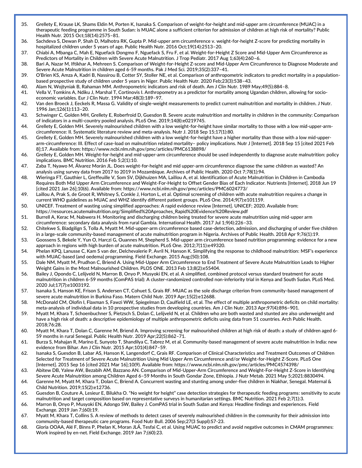- 35. Grellety E, Krause LK, Shams Eldin M, Porten K, Isanaka S. Comparison of weight-for-height and mid-upper arm circumference (MUAC) in a therapeutic feeding programme in South Sudan: is MUAC alone a sufficient criterion for admission of children at high risk of mortality? Public Health Nutr. 2015 Oct;18(14):2575–81.
- 36. Sachdeva S, Dewan P, Shah D, Malhotra RK, Gupta P. Mid-upper arm circumference v. weight-for-height Z-score for predicting mortality in hospitalized children under 5 years of age. Public Health Nutr. 2016 Oct;19(14):2513–20.
- 37. Chiabi A, Mbanga C, Mah E, Nguefack Dongmo F, Nguefack S, Fru F, et al. Weight-for-Height Z Score and Mid-Upper Arm Circumference as Predictors of Mortality in Children with Severe Acute Malnutrition. J Trop Pediatr. 2017 Aug 1;63(4):260–6.
- 38. Bari A, Nazar M, Iftikhar A, Mehreen S. Comparison of Weight-for-Height Z-score and Mid-Upper Arm Circumference to Diagnose Moderate and Severe Acute Malnutrition in children aged 6-59 months. Pak J Med Sci. 2019;35(2):337–41.
- 39. O'Brien KS, Amza A, Kadri B, Nassirou B, Cotter SY, Stoller NE, et al. Comparison of anthropometric indicators to predict mortality in a populationbased prospective study of children under 5 years in Niger. Public Health Nutr. 2020 Feb;23(3):538–43.
- 40. Alam N, Wojtyniak B, Rahaman MM. Anthropometric indicators and risk of death. Am J Clin Nutr. 1989 May;49(5):884–8.
- 41. Vella V, Tomkins A, Ndiku J, Marshal T, Cortinovis I. Anthropometry as a predictor for mortality among Ugandan children, allowing for socioeconomic variables. Eur J Clin Nutr. 1994 Mar;48(3):189–97.
- 42. Van den Broeck J, Eeckels R, Massa G. Validity of single-weight measurements to predict current malnutrition and mortality in children. J Nutr. 1996 Jan;126(1):113–20.
- 43. Schwinger C, Golden MH, Grellety E, Roberfroid D, Guesdon B. Severe acute malnutrition and mortality in children in the community: Comparison of indicators in a multi-country pooled analysis. PLoS One. 2019;14(8):e0219745.
- 44. Grellety E, Golden MH. Severely malnourished children with a low weight-for-height have similar mortality to those with a low mid-upper-armcircumference: II. Systematic literature review and meta-analysis. Nutr J. 2018 Sep 15;17(1):80.
- 45. Grellety E, Golden MH. Severely malnourished children with a low weight-for-height have a higher mortality than those with a low mid-upperarm-circumference: III. Effect of case-load on malnutrition related mortality– policy implications. Nutr J [Internet]. 2018 Sep 15 [cited 2021 Feb 8];17. Available from: https://www.ncbi.nlm.nih.gov/pmc/articles/PMC6138898/
- 46. Grellety E, Golden MH. Weight-for-height and mid-upper-arm circumference should be used independently to diagnose acute malnutrition: policy implications. BMC Nutrition. 2016 Feb 5;2(1):10.
- 47. Zaba T, Nyawo M, Álvarez Morán JL. Does weight-for-height and mid upper-arm circumference diagnose the same children as wasted? An analysis using survey data from 2017 to 2019 in Mozambique. Archives of Public Health. 2020 Oct 7;78(1):94.
- 48. Wieringa FT, Gauthier L, Greffeuille V, Som SV, Dijkhuizen MA, Laillou A, et al. Identification of Acute Malnutrition in Children in Cambodia Requires Both Mid Upper Arm Circumference and Weight-For-Height to Offset Gender Bias of Each Indicator. Nutrients [Internet]. 2018 Jun 19 [cited 2021 Jan 26];10(6). Available from: https://www.ncbi.nlm.nih.gov/pmc/articles/PMC6024773/
- 49. Laillou A, Prak S, de Groot R, Whitney S, Conkle J, Horton L, et al. Optimal screening of children with acute malnutrition requires a change in current WHO guidelines as MUAC and WHZ identify different patient groups. PLoS One. 2014;9(7):e101159.
- 50. UNICEF. Treatment of wasting using simplified approaches: A rapid evidence review [Internet]. UNICEF; 2020. Available from: https://resources.acutemalnutrition.org/Simplified%20Aproaches\_Rapid%20Evidence%20Review.pdf
- 51. Burrell A, Kerac M, Nabwera H. Monitoring and discharging children being treated for severe acute malnutrition using mid-upper arm circumference: secondary data analysis from rural Gambia. International Health. 2017 Jul 1;9(4):226–33.
- 52. Chitekwe S, Biadgilign S, Tolla A, Myatt M. Mid-upper-arm circumference based case-detection, admission, and discharging of under five children in a large-scale community-based management of acute malnutrition program in Nigeria. Archives of Public Health. 2018 Apr 9;76(1):19.
- 53. Goossens S, Bekele Y, Yun O, Harczi G, Ouannes M, Shepherd S. Mid-upper arm circumference based nutrition programming: evidence for a new approach in regions with high burden of acute malnutrition. PLoS One. 2012;7(11):e49320.
- 54. Phelan KPQ, Lanusse C, Kam S van der, Delchevalerie P, Avril N, Hanson K. Simplifying the response to childhood malnutrition: MSF's experience with MUAC-based (and oedema) programming. Field Exchange. 2015 Aug;(50):108.
- 55. Dale NM, Myatt M, Prudhon C, Briend A. Using Mid-Upper Arm Circumference to End Treatment of Severe Acute Malnutrition Leads to Higher Weight Gains in the Most Malnourished Children. PLOS ONE. 2013 Feb 13;8(2):e55404.
- 56. Bailey J, Opondo C, Lelijveld N, Marron B, Onyo P, Musyoki EN, et al. A simplified, combined protocol versus standard treatment for acute malnutrition in children 6-59 months (ComPAS trial): A cluster-randomized controlled non-inferiority trial in Kenya and South Sudan. PLoS Med. 2020 Jul;17(7):e1003192.
- 57. Isanaka S, Hanson KE, Frison S, Andersen CT, Cohuet S, Grais RF. MUAC as the sole discharge criterion from community-based management of severe acute malnutrition in Burkina Faso. Matern Child Nutr. 2019 Apr;15(2):e12688.
- 58. McDonald CM, Olofin I, Flaxman S, Fawzi WW, Spiegelman D, Caulfield LE, et al. The effect of multiple anthropometric deficits on child mortality: meta-analysis of individual data in 10 prospective studies from developing countries. Am J Clin Nutr. 2013 Apr;97(4):896–901.
- 59. Myatt M, Khara T, Schoenbuchner S, Pietzsch S, Dolan C, Lelijveld N, et al. Children who are both wasted and stunted are also underweight and have a high risk of death: a descriptive epidemiology of multiple anthropometric deficits using data from 51 countries. Arch Public Health. 2018;76:28.
- 60. Myatt M, Khara T, Dolan C, Garenne M, Briend A. Improving screening for malnourished children at high risk of death: a study of children aged 6- 59 months in rural Senegal. Public Health Nutr. 2019 Apr;22(5):862–71.
- 61. Burza S, Mahajan R, Marino E, Sunyoto T, Shandilya C, Tabrez M, et al. Community-based management of severe acute malnutrition in India: new evidence from Bihar. Am J Clin Nutr. 2015 Apr;101(4):847–59.
- 62. Isanaka S, Guesdon B, Labar AS, Hanson K, Langendorf C, Grais RF. Comparison of Clinical Characteristics and Treatment Outcomes of Children Selected for Treatment of Severe Acute Malnutrition Using Mid Upper Arm Circumference and/or Weight-for-Height Z-Score. PLoS One [Internet]. 2015 Sep 16 [cited 2021 Mar 16];10(9). Available from: https://www.ncbi.nlm.nih.gov/pmc/articles/PMC4574398/
- 63. Abitew DB, Yalew AW, Bezabih AM, Bazzano AN. Comparison of Mid-Upper-Arm Circumference and Weight-For-Height Z-Score in Identifying Severe Acute Malnutrition among Children Aged 6–59 Months in South Gondar Zone, Ethiopia. J Nutr Metab. 2021 May 5;2021:8830494.
- 64. Garenne M, Myatt M, Khara T, Dolan C, Briend A. Concurrent wasting and stunting among under-five children in Niakhar, Senegal. Maternal & Child Nutrition. 2019;15(2):e12736.
- 65. Guesdon B, Couture A, Lesieur E, Bilukha O. "No weight for height" case detection strategies for therapeutic feeding programs: sensitivity to acute malnutrition and target composition based on representative surveys in humanitarian settings. BMC Nutrition. 2021 Feb 2;7(1):3.
- 66. Marron B, Onyo P, Musyoki EN, Adongo SW, Bailey J. ComPAS trial in South Sudan and Kenya: Headline findings and experiences. Field Exchange. 2019 Jan 7;(60):19.
- 67. Myatt M, Khara T, Collins S. A review of methods to detect cases of severely malnourished children in the community for their admission into community-based therapeutic care programs. Food Nutr Bull. 2006 Sep;27(3 Suppl):S7-23.
- 68. Gloria OOAA, Alé F, Binns P, Phelan K, Moran JLÁ, Tesfai C, et al. Using MUAC to predict and avoid negative outcomes in CMAM programmes: Work inspired by en-net. Field Exchange. 2019 Jan 7;(60):23.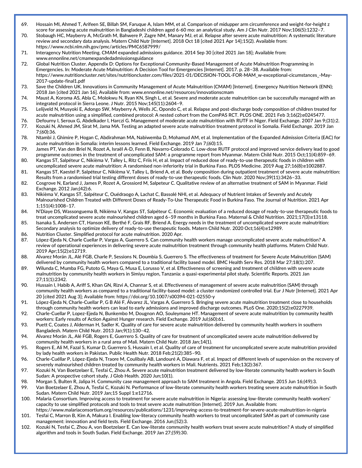- 69. Hossain MI, Ahmed T, Arifeen SE, Billah SM, Faruque A, Islam MM, et al. Comparison of midupper arm circumference and weight-for-height z score for assessing acute malnutrition in Bangladeshi children aged 6-60 mo: an analytical study. Am J Clin Nutr. 2017 Nov;106(5):1232–7.
- 70. Stobaugh HC, Mayberry A, McGrath M, Bahwere P, Zagre NM, Manary MJ, et al. Relapse after severe acute malnutrition: A systematic literature review and secondary data analysis. Matern Child Nutr [Internet]. 2018 Oct 18 [cited 2021 Apr 14];15(2). Available from: https://www.ncbi.nlm.nih.gov/pmc/articles/PMC6587999/
- 71. Interagency Nutrition Meeting. CMAM expanded admissions guidance. 2014 Sep 30 [cited 2021 Jan 18]; Available from: www.ennonline.net/cmamexpandedadmissionsguidance
- 72. Global Nutrition Cluster. Appendix D: Options for Exceptional Community-Based Management of Acute Malnutrition Programming in Emergencies. In: Moderate Acute Malnutrition: A Decision Tool for Emergencies [Internet]. 2017. p. 28–38. Available from: https://www.nutritioncluster.net/sites/nutritioncluster.com/files/2021-01/DECISION-TOOL-FOR-MAM\_w-exceptional-cicumstances\_-May-2017-update-final1.pdf
- 73. Save the Children UK. Innovations in Community Management of Acute Malnutrition (CMAM) [Internet]. Emergency Nutrition Network (ENN); 2018 Jan [cited 2021 Jan 16]. Available from: www.ennonline.net/resources/innovationscmam
- 74. Maust A, Koroma AS, Abla C, Molokwu N, Ryan KN, Singh L, et al. Severe and moderate acute malnutrition can be successfully managed with an integrated protocol in Sierra Leone. J Nutr. 2015 Nov;145(11):2604–9.
- 75. Lelijveld N, Musyoki E, Adongo SW, Mayberry A, Wells JC, Opondo C, et al. Relapse and post-discharge body composition of children treated for acute malnutrition using a simplified, combined protocol: A nested cohort from the ComPAS RCT. PLOS ONE. 2021 Feb 3;16(2):e0245477.
- 76. Defourny I, Seroux G, Abdelkader I, Harczi G. Management of moderate acute malnutrition with RUTF in Niger. Field Exchange. 2007 Jan 9;(31):2. 77. Kozuki N, Ahmed JM, Sirat M, Jama MA. Testing an adapted severe acute malnutrition treatment protocol in Somalia. Field Exchange. 2019 Jan 7;(60):36.
- 78. Ntambi J, Ghimire P, Hogan C, Abdirahman MA, Nabiwemba D, Mohamud AM, et al. Implementation of the Expanded Admission Criteria (EAC) for acute malnutrition in Somalia: interim lessons learned. Field Exchange. 2019 Jan 7;(60):15.
- 79. James PT, Van den Briel N, Rozet A, Israël A-D, Fenn B, Navarro-Colorado C. Low-dose RUTF protocol and improved service delivery lead to good programme outcomes in the treatment of uncomplicated SAM: a programme report from Myanmar. Matern Child Nutr. 2015 Oct;11(4):859–69.
- 80. Kangas ST, Salpéteur C, Nikièma V, Talley L, Ritz C, Friis H, et al. Impact of reduced dose of ready-to-use therapeutic foods in children with uncomplicated severe acute malnutrition: A randomised non-inferiority trial in Burkina Faso. PLOS Medicine. 2019 Aug 27;16(8):e1002887.
- 81. Kangas ST, Kaestel P, Salpéteur C, Nikièma V, Talley L, Briend A, et al. Body composition during outpatient treatment of severe acute malnutrition: Results from a randomised trial testing different doses of ready-to-use therapeutic foods. Clin Nutr. 2020 Nov;39(11):3426–33.
- 82. Cosgrove N, Earland J, James P, Rozet A, Grossiord M, Salpeteur C. Qualitative review of an alternative treatment of SAM in Myanmar. Field Exchange. 2012 Jan;(42):6.
- 83. Nikièma V, Kangas ST, Salpéteur C, Ouédraogo A, Lachat C, Bassolé NHI, et al. Adequacy of Nutrient Intakes of Severely and Acutely Malnourished Children Treated with Different Doses of Ready-To-Use Therapeutic Food in Burkina Faso. The Journal of Nutrition. 2021 Apr 1;151(4):1008–17.
- 84. N'Diaye DS, Wassonguema B, Nikièma V, Kangas ST, Salpéteur C. Economic evaluation of a reduced dosage of ready-to-use therapeutic foods to treat uncomplicated severe acute malnourished children aged 6–59 months in Burkina Faso. Maternal & Child Nutrition. 2021;17(3):e13118.
- 85. Isanaka S, Andersen CT, Hanson KE, Berthé F, Grais RF, Briend A. Energy needs in the treatment of uncomplicated severe acute malnutrition: Secondary analysis to optimize delivery of ready-to-use therapeutic foods. Matern Child Nutr. 2020 Oct;16(4):e12989.
- 86. Nutrition Cluster. Simplified protocol for acute malnutrition. 2020 Apr.
- 87. López-Ejeda N, Charle Cuellar P, Vargas A, Guerrero S. Can community health workers manage uncomplicated severe acute malnutrition? A review of operational experiences in delivering severe acute malnutrition treatment through community health platforms. Matern Child Nutr. 2019 Apr;15(2):e12719.
- 88. Alvarez Morán JL, Alé FGB, Charle P, Sessions N, Doumbia S, Guerrero S. The effectiveness of treatment for Severe Acute Malnutrition (SAM) delivered by community health workers compared to a traditional facility based model. BMC Health Serv Res. 2018 Mar 27;18(1):207.
- 89. Wilunda C, Mumba FG, Putoto G, Maya G, Musa E, Lorusso V, et al. Effectiveness of screening and treatment of children with severe acute malnutrition by community health workers in Simiyu region, Tanzania: a quasi-experimental pilot study. Scientific Reports. 2021 Jan 27;11(1):2342.
- 90. Hussain I, Habib A, Ariff S, Khan GN, Rizvi A, Channar S, et al. Effectiveness of management of severe acute malnutrition (SAM) through community health workers as compared to a traditional facility-based model: a cluster randomized controlled trial. Eur J Nutr [Internet]. 2021 Apr 20 [cited 2021 Aug 3]; Available from: https://doi.org/10.1007/s00394-021-02550-y
- 91. López-Ejeda N, Charle-Cuellar P, G B Alé F, Álvarez JL, Vargas A, Guerrero S. Bringing severe acute malnutrition treatment close to households through community health workers can lead to early admissions and improved discharge outcomes. PLoS One. 2020;15(2):e0227939.
- 92. Charle-Cuellar P, Lopez-Ejeda N, Bunkembo M, Dougnon AO, Souleymane HT. Management of severe acute malnutrition by community health workers: Early results of Action Against Hunger research. Field Exchange. 2019 Jul;(60):61.
- 93. Puett C, Coates J, Alderman H, Sadler K. Quality of care for severe acute malnutrition delivered by community health workers in southern Bangladesh. Matern Child Nutr. 2013 Jan;9(1):130–42.
- 94. Alvarez Morán JL, Alé FGB, Rogers E, Guerrero S. Quality of care for treatment of uncomplicated severe acute malnutrition delivered by community health workers in a rural area of Mali. Matern Child Nutr. 2018 Jan;14(1).
- 95. Rogers E, Ali M, Fazal S, Kumar D, Guerrero S, Hussain I, et al. Quality of care of treatment for uncomplicated severe acute malnutrition provided by lady health workers in Pakistan. Public Health Nutr. 2018 Feb;21(2):385–90.
- 96. Charle-Cuéllar P, López-Ejeda N, Traore M, Coulibaly AB, Landouré A, Diawara F, et al. Impact of different levels of supervision on the recovery of severely malnourished children treated by community health workers in Mali. Nutrients. 2021 Feb;13(2):367.
- 97. Kozuki N, Van Boetzelaer E, Tesfai C, Zhou A. Severe acute malnutrition treatment delivered by low-literate community health workers in South Sudan: A prospective cohort study. J Glob Health. 2020 Jun;10(1).
- 98. Morgan S, Bulten R, Jalipa H. Community case management approach to SAM treatment in Angola. Field Exchange. 2015 Jun 16;(49):3.
- 99. Van Boetzelaer E, Zhou A, Tesfai C, Kozuki N. Performance of low-literate community health workers treating severe acute malnutrition in South Sudan. Matern Child Nutr. 2019 Jan;15 Suppl 1:e12716.
- 100. Malaria Consortium. Improving access to treatment for severe acute malnutrition in Nigeria: assessing low-literate community health workers' capacity to use simplified protocols and tools to treat severe acute malnutrition [Internet]. 2019 Jun. Available from:
- https://www.malariaconsortium.org/resources/publications/1231/improving-access-to-treatment-for-severe-acute-malnutrition-in-nigeria 101. Tesfai C, Marron B, Kim A, Makura I. Enabling low-literacy community health workers to treat uncomplicated SAM as part of community case
- management: innovation and field tests. Field Exchange. 2016 Jun;(52):3. 102. Kozuki N, Tesfai C, Zhou A, von Boetzelaer E. Can low-literate community health workers treat severe acute malnutrition? A study of simplified algorithm and tools in South Sudan. Field Exchange. 2019 Jan 27;(59):30.